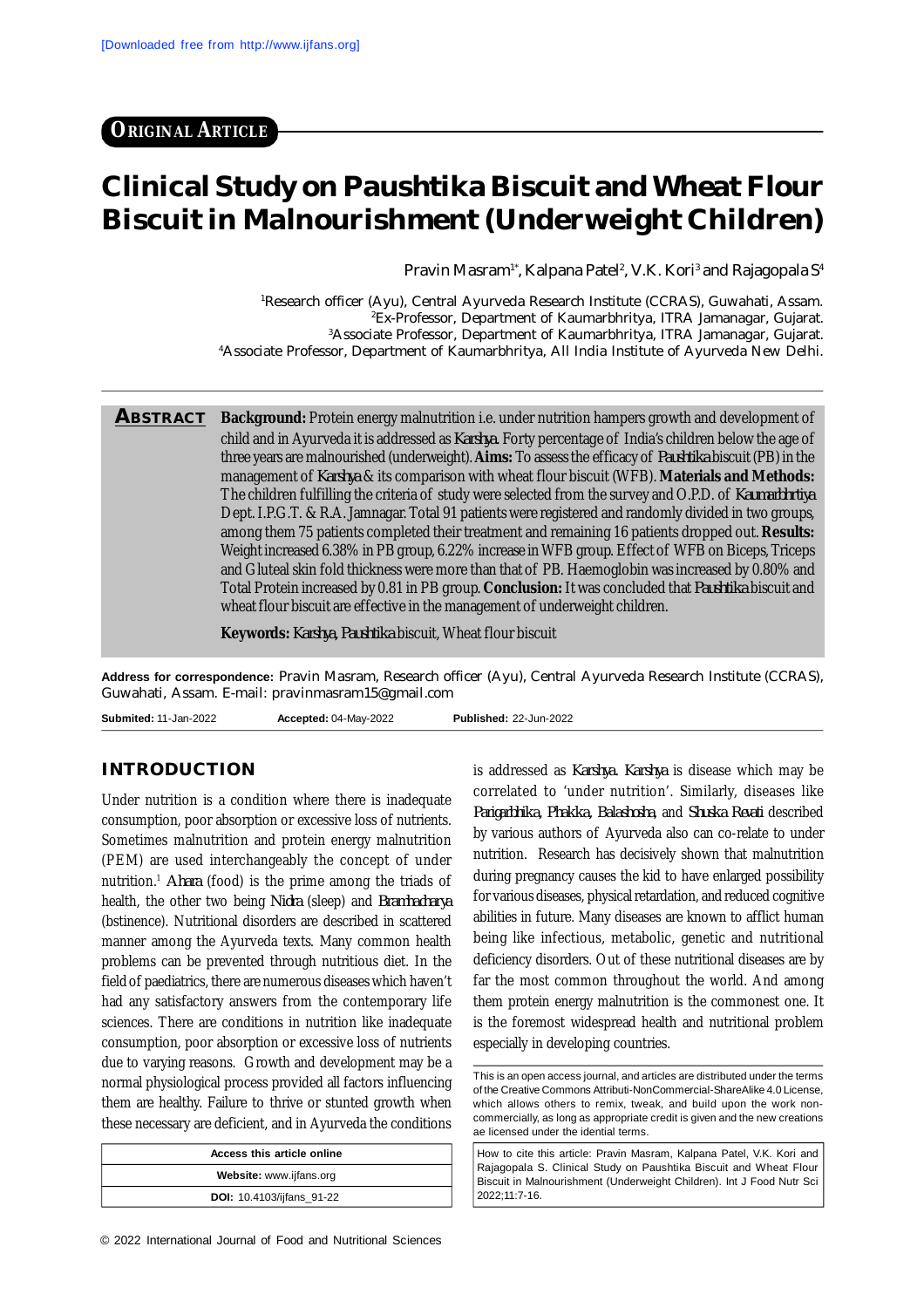# **Clinical Study on Paushtika Biscuit and Wheat Flour Biscuit in Malnourishment (Underweight Children)**

Pravin Masram<sup>1\*</sup>, Kalpana Patel<sup>2</sup>, V.K. Kori<sup>3</sup> and Rajagopala S<sup>4</sup>

Research officer (Ayu), Central Ayurveda Research Institute (CCRAS), Guwahati, Assam. Ex-Professor, Department of Kaumarbhritya, ITRA Jamanagar, Gujarat. Associate Professor, Department of Kaumarbhritya, ITRA Jamanagar, Gujarat. Associate Professor, Department of Kaumarbhritya, All India Institute of Ayurveda New Delhi.

**ABSTRACT Background:** Protein energy malnutrition i.e. under nutrition hampers growth and development of child and in Ayurveda it is addressed as *Karshya.* Forty percentage of India's children below the age of three years are malnourished (underweight). **Aims:** To assess the efficacy of *Paushtika* biscuit (PB) in the management of *Karshya* & its comparison with wheat flour biscuit (WFB). **Materials and Methods:** The children fulfilling the criteria of study were selected from the survey and O.P.D. of *Kaumarbhrtiya* Dept. I.P.G.T. & R.A. Jamnagar. Total 91 patients were registered and randomly divided in two groups, among them 75 patients completed their treatment and remaining 16 patients dropped out. **Results:** Weight increased 6.38% in PB group, 6.22% increase in WFB group. Effect of WFB on Biceps, Triceps and Gluteal skin fold thickness were more than that of PB. Haemoglobin was increased by 0.80% and Total Protein increased by 0.81 in PB group. **Conclusion:** It was concluded that *Paushtika* biscuit and wheat flour biscuit are effective in the management of underweight children.

**Keywords:** *Karshya, Paushtika* biscuit, Wheat flour biscuit

**Address for correspondence:** Pravin Masram, Research officer (Ayu), Central Ayurveda Research Institute (CCRAS), Guwahati, Assam. E-mail: [pravinmasram15@gmail.com](mailto:pravinmasram15@gmail.com)

**Submited:** 11-Jan-2022 **Accepted:** 04-May-2022 **Published:** 22-Jun-2022

### **INTRODUCTION**

Under nutrition is a condition where there is inadequate consumption, poor absorption or excessive loss of nutrients. Sometimes malnutrition and protein energy malnutrition (PEM) are used interchangeably the concept of under nutrition.<sup>1</sup> *Ahara* (food) is the prime among the triads of health, the other two being *Nidra* (sleep) and *Bramhacharya* (bstinence). Nutritional disorders are described in scattered manner among the Ayurveda texts. Many common health problems can be prevented through nutritious diet. In the field of paediatrics, there are numerous diseases which haven't had any satisfactory answers from the contemporary life sciences. There are conditions in nutrition like inadequate consumption, poor absorption or excessive loss of nutrients due to varying reasons. Growth and development may be a normal physiological process provided all factors influencing them are healthy. Failure to thrive or stunted growth when these necessary are deficient, and in Ayurveda the conditions

| Access this article online       |  |  |  |  |  |
|----------------------------------|--|--|--|--|--|
| Website: www.ijfans.org          |  |  |  |  |  |
| <b>DOI:</b> 10.4103/ijfans_91-22 |  |  |  |  |  |

is addressed as *Karshya. Karshya* is disease which may be correlated to 'under nutrition'. Similarly, diseases like *Parigarbhika, Phakka, Balashosha*, and *Shuska Revati* described by various authors of Ayurveda also can co-relate to under nutrition. Research has decisively shown that malnutrition during pregnancy causes the kid to have enlarged possibility for various diseases, physical retardation, and reduced cognitive abilities in future. Many diseases are known to afflict human being like infectious, metabolic, genetic and nutritional deficiency disorders. Out of these nutritional diseases are by far the most common throughout the world. And among them protein energy malnutrition is the commonest one. It is the foremost widespread health and nutritional problem especially in developing countries.

How to cite this article: Pravin Masram, Kalpana Patel, V.K. Kori and Rajagopala S. Clinical Study on Paushtika Biscuit and Wheat Flour Biscuit in Malnourishment (Underweight Children). Int J Food Nutr Sci 2022;11:7-16.

This is an open access journal, and articles are distributed under the terms of the Creative Commons Attributi-NonCommercial-ShareAlike 4.0 License, which allows others to remix, tweak, and build upon the work noncommercially, as long as appropriate credit is given and the new creations ae licensed under the idential terms.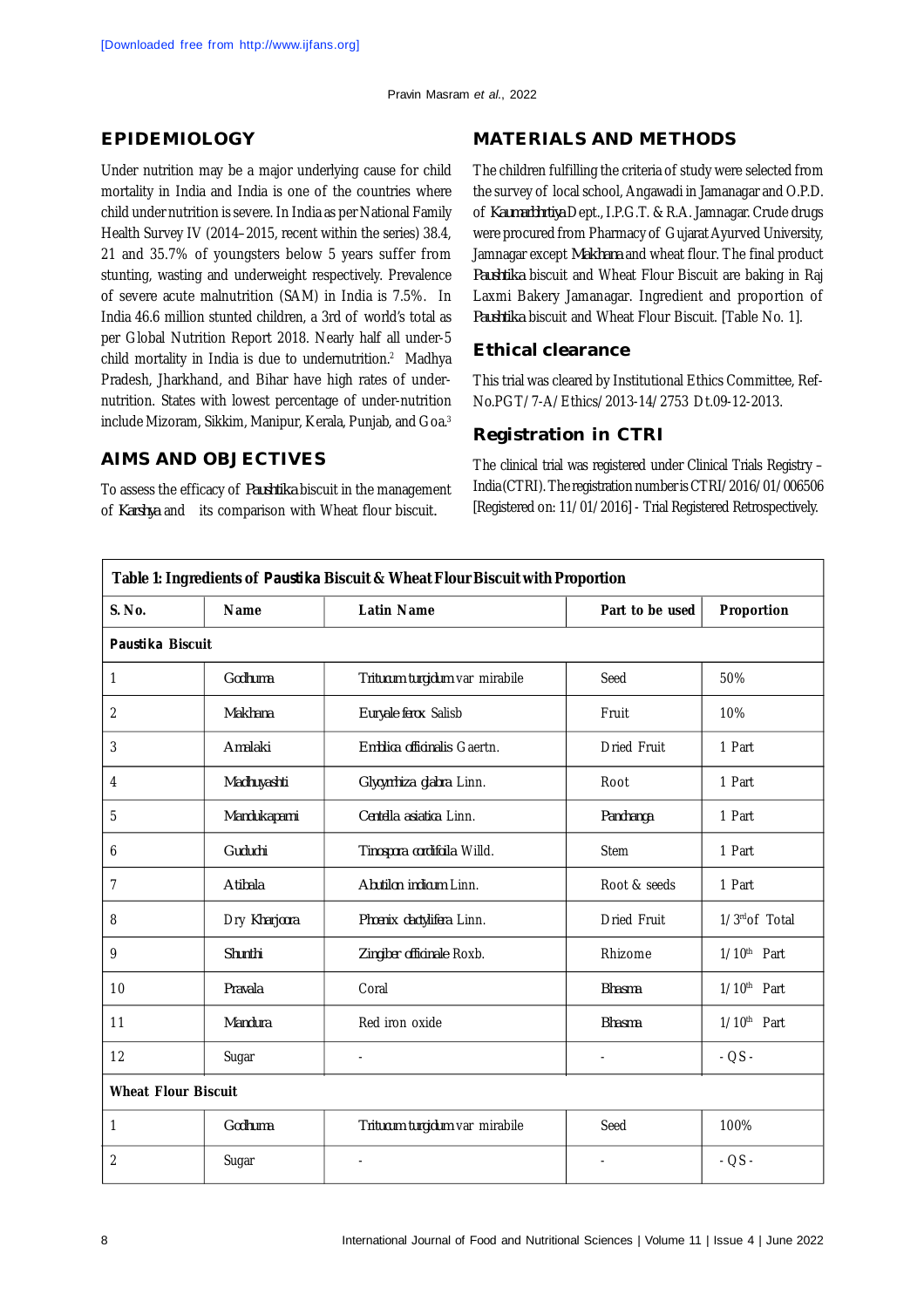## **EPIDEMIOLOGY**

Under nutrition may be a major underlying cause for child mortality in India and India is one of the countries where child under nutrition is severe. In India as per National Family Health Survey IV (2014–2015, recent within the series) 38.4, 21 and 35.7% of youngsters below 5 years suffer from stunting, wasting and underweight respectively. Prevalence of severe acute malnutrition (SAM) in India is 7.5%. In India 46.6 million stunted children, a 3rd of world's total as per Global Nutrition Report 2018. Nearly half all under-5 child mortality in India is due to undernutrition.<sup>2</sup> Madhya Pradesh, Jharkhand, and Bihar have high rates of undernutrition. States with lowest percentage of under-nutrition include Mizoram, Sikkim, Manipur, Kerala, Punjab, and Goa.<sup>3</sup>

## **AIMS AND OBJECTIVES**

To assess the efficacy of *Paushtika* biscuit in the management of *Karshya* andits comparison with Wheat flour biscuit*.*

## **MATERIALS AND METHODS**

The children fulfilling the criteria of study were selected from the survey of local school, Angawadi in Jamanagar and O.P.D. of *Kaumarbhrtiya* Dept., I.P.G.T. & R.A. Jamnagar. Crude drugs were procured from Pharmacy of Gujarat Ayurved University, Jamnagar except *Makhana* and wheat flour. The final product *Paushtika* biscuit and Wheat Flour Biscuit are baking in Raj Laxmi Bakery Jamanagar. Ingredient and proportion of *Paushtika* biscuit and Wheat Flour Biscuit. [Table No. 1].

## **Ethical clearance**

This trial was cleared by Institutional Ethics Committee, Ref-No.PGT/7-A/Ethics/2013-14/2753 Dt.09-12-2013.

## **Registration in CTRI**

The clinical trial was registered under Clinical Trials Registry – India (CTRI). The registration number is CTRI/2016/01/006506 [Registered on: 11/01/2016] - Trial Registered Retrospectively.

| Table 1: Ingredients of Paustika Biscuit & Wheat Flour Biscuit with Proportion |                            |                                |                    |                         |  |  |  |  |
|--------------------------------------------------------------------------------|----------------------------|--------------------------------|--------------------|-------------------------|--|--|--|--|
| S. No.                                                                         | <b>Name</b>                | <b>Latin Name</b>              | Part to be used    | Proportion              |  |  |  |  |
| Paustika Biscuit                                                               |                            |                                |                    |                         |  |  |  |  |
| 1                                                                              | Godhuma                    | Tritucum turgidum var mirabile | Seed               | 50%                     |  |  |  |  |
| 2                                                                              | Makhana                    | Euryale ferox Salisb           | Fruit              | 10%                     |  |  |  |  |
| 3                                                                              | Amalaki                    | Emblica officinalis Gaertn.    | <b>Dried Fruit</b> | 1 Part                  |  |  |  |  |
| 4                                                                              | Madhuyashti                | Glycyrrhiza glabra Linn.       | Root               | 1 Part                  |  |  |  |  |
| 5                                                                              | Mandukaparni               | Centella asiatica Linn.        | Panchanga          | 1 Part                  |  |  |  |  |
| 6                                                                              | Guduchi                    | Tinospora cordifoila Willd.    | <b>Stem</b>        | 1 Part                  |  |  |  |  |
| 7                                                                              | Atibala                    | Abutilon indicum Linn.         | Root & seeds       | 1 Part                  |  |  |  |  |
| 8                                                                              | Dry Kharjoora              | Phoenix dactylifera Linn.      | <b>Dried Fruit</b> | 1/3rdof Total           |  |  |  |  |
| 9                                                                              | Shunthi                    | Zingiber officinale Roxb.      | Rhizome            | $1/10th$ Part           |  |  |  |  |
| 10                                                                             | Pravala                    | Coral                          | <b>Bhasma</b>      | 1/10 <sup>th</sup> Part |  |  |  |  |
| 11                                                                             | Mandura                    | Red iron oxide                 | <b>Bhasma</b>      | $1/10th$ Part           |  |  |  |  |
| 12                                                                             | Sugar                      | $\blacksquare$                 | ä,                 | $-QS -$                 |  |  |  |  |
|                                                                                | <b>Wheat Flour Biscuit</b> |                                |                    |                         |  |  |  |  |
| 1                                                                              | Godhuma                    | Tritucum turgidum var mirabile | Seed               | 100%                    |  |  |  |  |
| 2                                                                              | Sugar                      |                                |                    | $-QS -$                 |  |  |  |  |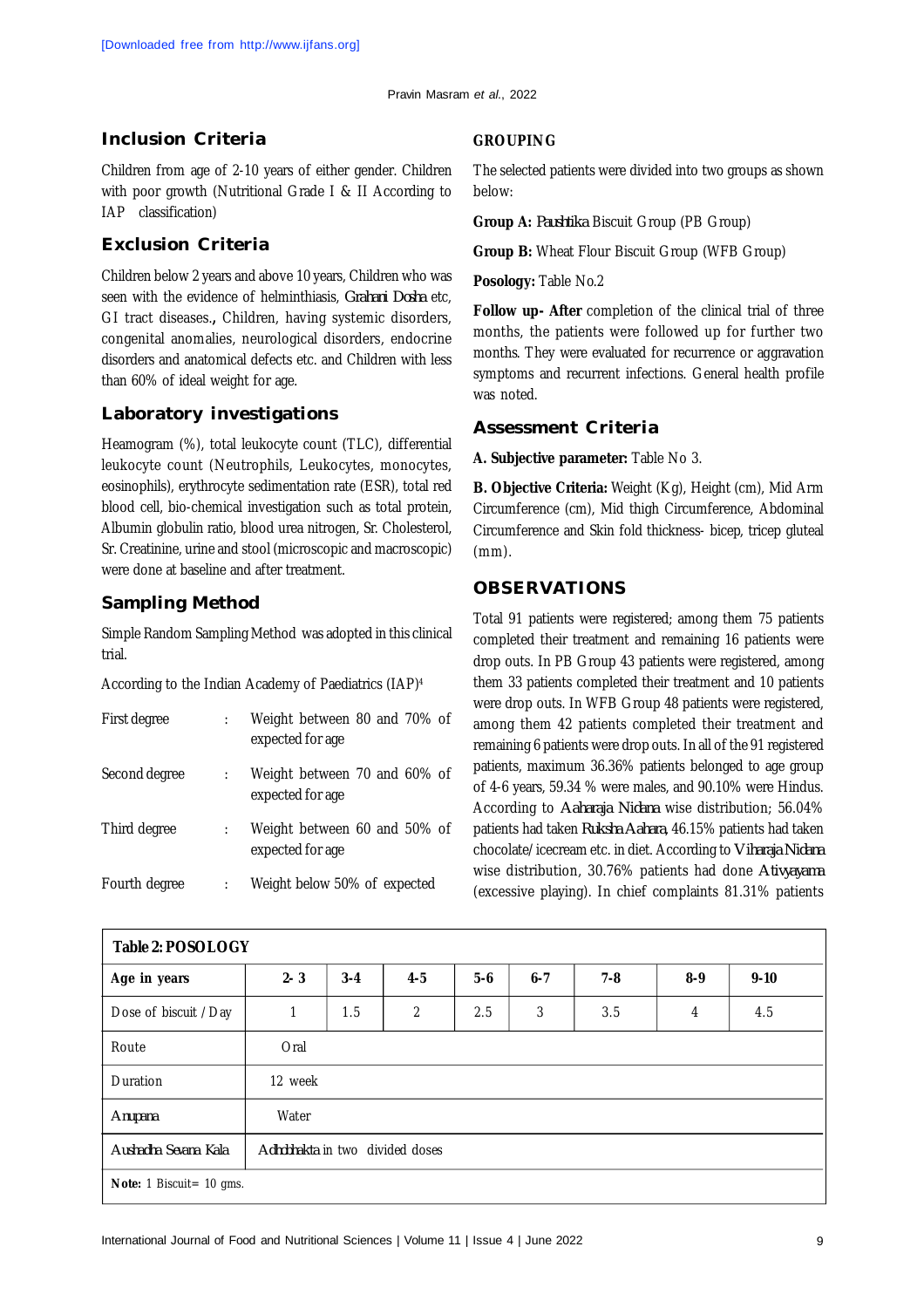## **Inclusion Criteria**

Children from age of 2-10 years of either gender. Children with poor growth (Nutritional Grade I & II According to IAP classification)

## **Exclusion Criteria**

Children below 2 years and above 10 years, Children who was seen with the evidence of helminthiasis, *Grahani Dosha* etc, GI tract diseases.**,** Children, having systemic disorders, congenital anomalies, neurological disorders, endocrine disorders and anatomical defects etc. and Children with less than 60% of ideal weight for age.

## **Laboratory investigations**

Heamogram (%), total leukocyte count (TLC), differential leukocyte count (Neutrophils, Leukocytes, monocytes, eosinophils), erythrocyte sedimentation rate (ESR), total red blood cell, bio-chemical investigation such as total protein, Albumin globulin ratio, blood urea nitrogen, Sr. Cholesterol, Sr. Creatinine, urine and stool (microscopic and macroscopic) were done at baseline and after treatment.

## **Sampling Method**

Simple Random Sampling Method was adopted in this clinical trial.

According to the Indian Academy of Paediatrics (IAP)<sup>4</sup>

| First degree  | Weight between 80 and 70% of<br>expected for age |
|---------------|--------------------------------------------------|
| Second degree | Weight between 70 and 60% of<br>expected for age |
| Third degree  | Weight between 60 and 50% of<br>expected for age |
| Fourth degree | Weight below 50% of expected                     |

#### **GROUPING**

The selected patients were divided into two groups as shown below:

**Group A:** *Paushtika* Biscuit Group (PB Group)

**Group B:** Wheat Flour Biscuit Group (WFB Group)

**Posology:** Table No.2

**Follow up- After** completion of the clinical trial of three months, the patients were followed up for further two months. They were evaluated for recurrence or aggravation symptoms and recurrent infections. General health profile was noted.

## **Assessment Criteria**

**A. Subjective parameter:** Table No 3.

**B. Objective Criteria:** Weight (Kg), Height (cm), Mid Arm Circumference (cm), Mid thigh Circumference, Abdominal Circumference and Skin fold thickness- bicep, tricep gluteal (mm).

## **OBSERVATIONS**

Total 91 patients were registered; among them 75 patients completed their treatment and remaining 16 patients were drop outs. In PB Group 43 patients were registered, among them 33 patients completed their treatment and 10 patients were drop outs. In WFB Group 48 patients were registered, among them 42 patients completed their treatment and remaining 6 patients were drop outs. In all of the 91 registered patients, maximum 36.36% patients belonged to age group of 4-6 years, 59.34 % were males, and 90.10% were Hindus. According to *Aaharaja Nidana* wise distribution; 56.04% patients had taken *Ruksha Aahara*, 46.15% patients had taken chocolate/icecream etc. in diet. According to *Viharaja Nidana* wise distribution, 30.76% patients had done *Ativyayama* (excessive playing). In chief complaints 81.31% patients

| <b>Table 2: POSOLOGY</b> |                                 |         |                |         |         |         |         |          |  |
|--------------------------|---------------------------------|---------|----------------|---------|---------|---------|---------|----------|--|
| Age in years             | $2 - 3$                         | $3 - 4$ | $4 - 5$        | $5 - 6$ | $6 - 7$ | $7 - 8$ | $8 - 9$ | $9 - 10$ |  |
| Dose of biscuit /Day     | 1                               | 1.5     | $\overline{2}$ | 2.5     | 3       | 3.5     | 4       | 4.5      |  |
| Route                    | Oral                            |         |                |         |         |         |         |          |  |
| Duration                 | 12 week                         |         |                |         |         |         |         |          |  |
| Anupana                  | Water                           |         |                |         |         |         |         |          |  |
| Aushadha Sevana Kala     | Adhobhakta in two divided doses |         |                |         |         |         |         |          |  |
| Note: 1 Biscuit= 10 gms. |                                 |         |                |         |         |         |         |          |  |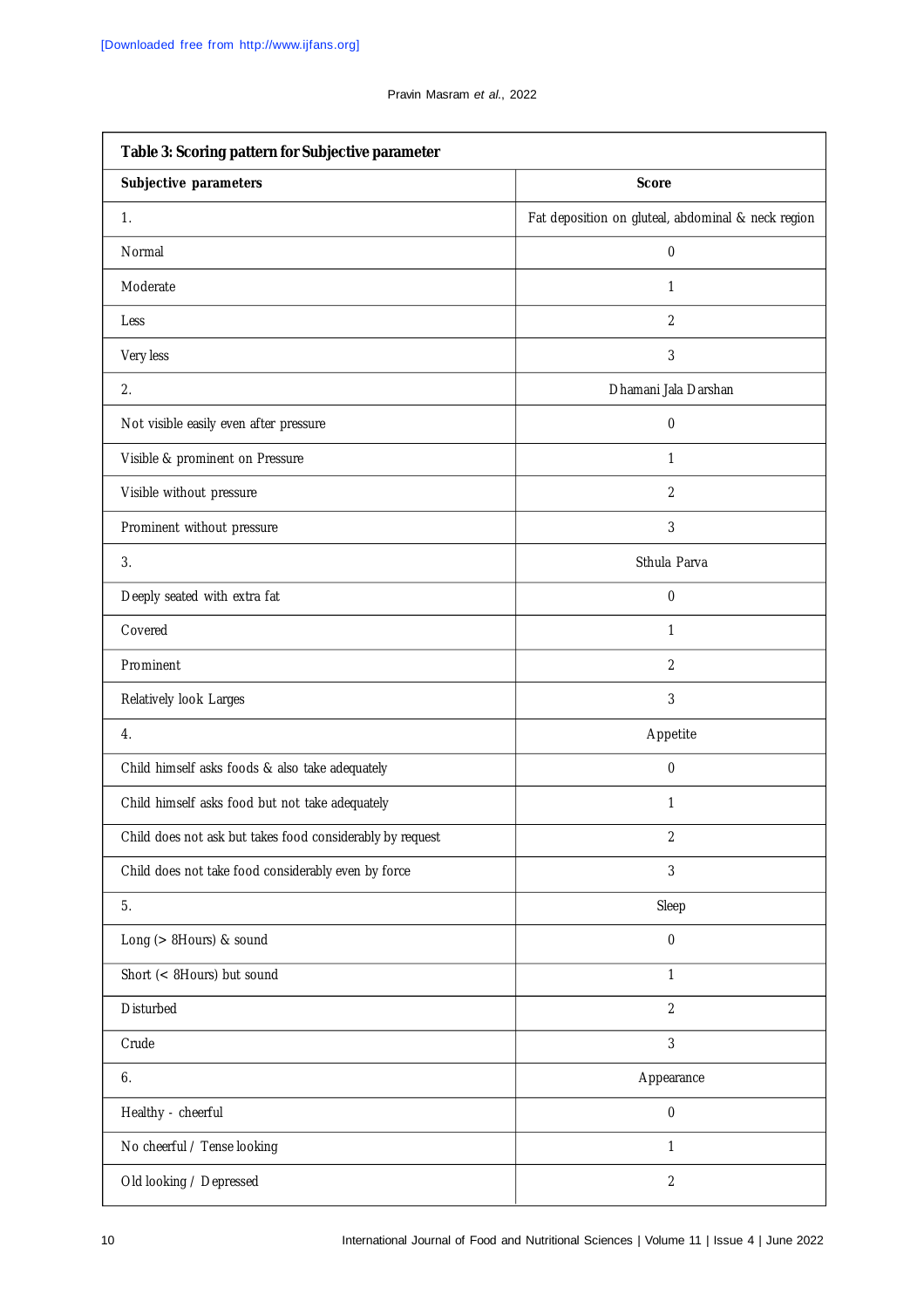| Table 3: Scoring pattern for Subjective parameter         |                                                    |  |  |  |  |  |  |
|-----------------------------------------------------------|----------------------------------------------------|--|--|--|--|--|--|
| Subjective parameters                                     | <b>Score</b>                                       |  |  |  |  |  |  |
| 1.                                                        | Fat deposition on gluteal, abdominal & neck region |  |  |  |  |  |  |
| Normal                                                    | $\pmb{0}$                                          |  |  |  |  |  |  |
| Moderate                                                  | 1                                                  |  |  |  |  |  |  |
| Less                                                      | $\overline{2}$                                     |  |  |  |  |  |  |
| Very less                                                 | 3                                                  |  |  |  |  |  |  |
| 2.                                                        | Dhamani Jala Darshan                               |  |  |  |  |  |  |
| Not visible easily even after pressure                    | $\pmb{0}$                                          |  |  |  |  |  |  |
| Visible & prominent on Pressure                           | 1                                                  |  |  |  |  |  |  |
| Visible without pressure                                  | $\overline{2}$                                     |  |  |  |  |  |  |
| Prominent without pressure                                | 3                                                  |  |  |  |  |  |  |
| 3.                                                        | Sthula Parva                                       |  |  |  |  |  |  |
| Deeply seated with extra fat                              | $\pmb{0}$                                          |  |  |  |  |  |  |
| Covered                                                   | 1                                                  |  |  |  |  |  |  |
| Prominent                                                 | $\overline{2}$                                     |  |  |  |  |  |  |
| Relatively look Larges                                    | 3                                                  |  |  |  |  |  |  |
| 4.                                                        | Appetite                                           |  |  |  |  |  |  |
| Child himself asks foods & also take adequately           | $\pmb{0}$                                          |  |  |  |  |  |  |
| Child himself asks food but not take adequately           | 1                                                  |  |  |  |  |  |  |
| Child does not ask but takes food considerably by request | $\overline{2}$                                     |  |  |  |  |  |  |
| Child does not take food considerably even by force       | 3                                                  |  |  |  |  |  |  |
| 5.                                                        | Sleep                                              |  |  |  |  |  |  |
| Long (> 8Hours) & sound                                   | $\pmb{0}$                                          |  |  |  |  |  |  |
| Short (< 8Hours) but sound                                | 1                                                  |  |  |  |  |  |  |
| Disturbed                                                 | $\overline{2}$                                     |  |  |  |  |  |  |
| Crude                                                     | 3                                                  |  |  |  |  |  |  |
| 6.                                                        | Appearance                                         |  |  |  |  |  |  |
| Healthy - cheerful                                        | $\boldsymbol{0}$                                   |  |  |  |  |  |  |
| No cheerful / Tense looking                               | 1                                                  |  |  |  |  |  |  |
| Old looking / Depressed                                   | $\overline{2}$                                     |  |  |  |  |  |  |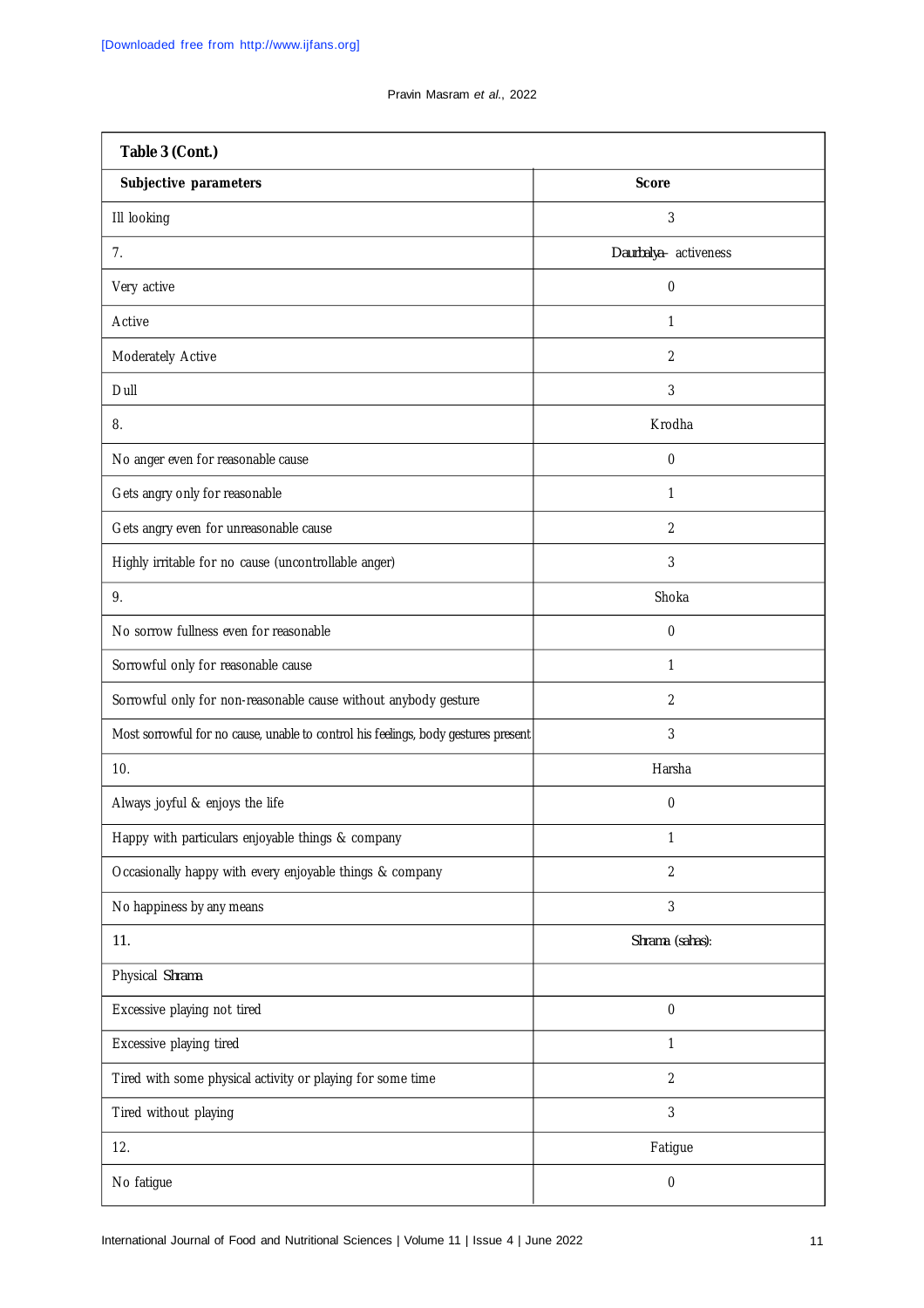| Table 3 (Cont.)                                                                    |                       |  |  |  |  |  |
|------------------------------------------------------------------------------------|-----------------------|--|--|--|--|--|
| Subjective parameters                                                              | <b>Score</b>          |  |  |  |  |  |
| III looking                                                                        | 3                     |  |  |  |  |  |
| 7 <sub>1</sub>                                                                     | Daurbalya- activeness |  |  |  |  |  |
| Very active                                                                        | $\boldsymbol{0}$      |  |  |  |  |  |
| Active                                                                             | 1                     |  |  |  |  |  |
| Moderately Active                                                                  | $\overline{2}$        |  |  |  |  |  |
| Dull                                                                               | 3                     |  |  |  |  |  |
| 8.                                                                                 | Krodha                |  |  |  |  |  |
| No anger even for reasonable cause                                                 | $\mathbf 0$           |  |  |  |  |  |
| Gets angry only for reasonable                                                     | 1                     |  |  |  |  |  |
| Gets angry even for unreasonable cause                                             | $\overline{2}$        |  |  |  |  |  |
| Highly irritable for no cause (uncontrollable anger)                               | 3                     |  |  |  |  |  |
| 9.                                                                                 | Shoka                 |  |  |  |  |  |
| No sorrow fullness even for reasonable                                             | $\mathbf 0$           |  |  |  |  |  |
| Sorrowful only for reasonable cause                                                | 1                     |  |  |  |  |  |
| Sorrowful only for non-reasonable cause without anybody gesture                    | 2                     |  |  |  |  |  |
| Most sorrowful for no cause, unable to control his feelings, body gestures present | 3                     |  |  |  |  |  |
| 10.                                                                                | Harsha                |  |  |  |  |  |
| Always joyful & enjoys the life                                                    | $\mathbf 0$           |  |  |  |  |  |
| Happy with particulars enjoyable things & company                                  | $\mathbf{1}$          |  |  |  |  |  |
| Occasionally happy with every enjoyable things & company                           | $\overline{2}$        |  |  |  |  |  |
| No happiness by any means                                                          | 3                     |  |  |  |  |  |
| 11.                                                                                | Shrama (sahas):       |  |  |  |  |  |
| Physical Shrama                                                                    |                       |  |  |  |  |  |
| Excessive playing not tired                                                        | 0                     |  |  |  |  |  |
| Excessive playing tired                                                            | $\mathbf{1}$          |  |  |  |  |  |
| Tired with some physical activity or playing for some time                         | $\overline{2}$        |  |  |  |  |  |
| Tired without playing                                                              | 3                     |  |  |  |  |  |
| 12.                                                                                | Fatigue               |  |  |  |  |  |
| No fatigue                                                                         | 0                     |  |  |  |  |  |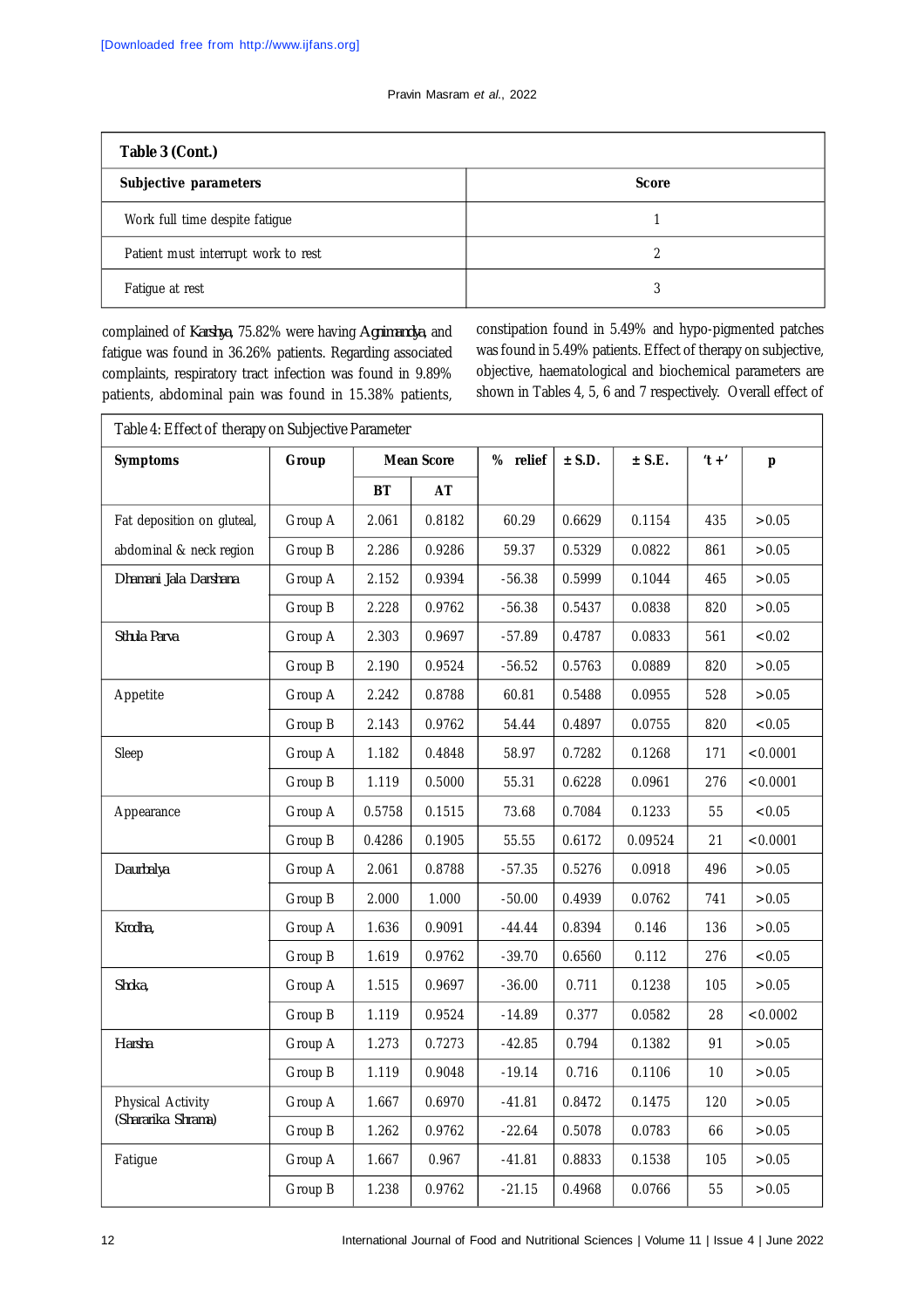| Table 3 (Cont.)                     |              |  |  |  |  |  |
|-------------------------------------|--------------|--|--|--|--|--|
| Subjective parameters               | <b>Score</b> |  |  |  |  |  |
| Work full time despite fatigue      |              |  |  |  |  |  |
| Patient must interrupt work to rest | າ            |  |  |  |  |  |
| Fatigue at rest                     | ς            |  |  |  |  |  |

complained of *Karshya*, 75.82% were having *Agnimandya*, and fatigue was found in 36.26% patients. Regarding associated complaints, respiratory tract infection was found in 9.89% patients, abdominal pain was found in 15.38% patients, constipation found in 5.49% and hypo-pigmented patches was found in 5.49% patients. Effect of therapy on subjective, objective, haematological and biochemical parameters are shown in Tables 4, 5, 6 and 7 respectively. Overall effect of

| <b>Symptoms</b>            | Group<br><b>Mean Score</b> |           |        | % relief | $±$ S.D. | $±$ S.E. | $'t +'$ | p        |
|----------------------------|----------------------------|-----------|--------|----------|----------|----------|---------|----------|
|                            |                            | <b>BT</b> | AT     |          |          |          |         |          |
| Fat deposition on gluteal, | Group A                    | 2.061     | 0.8182 | 60.29    | 0.6629   | 0.1154   | 435     | >0.05    |
| abdominal & neck region    | Group B                    | 2.286     | 0.9286 | 59.37    | 0.5329   | 0.0822   | 861     | >0.05    |
| Dhamani Jala Darshana      | Group A                    | 2.152     | 0.9394 | $-56.38$ | 0.5999   | 0.1044   | 465     | >0.05    |
|                            | Group B                    | 2.228     | 0.9762 | $-56.38$ | 0.5437   | 0.0838   | 820     | >0.05    |
| Sthula Parva               | Group A                    | 2.303     | 0.9697 | $-57.89$ | 0.4787   | 0.0833   | 561     | < 0.02   |
|                            | Group B                    | 2.190     | 0.9524 | $-56.52$ | 0.5763   | 0.0889   | 820     | >0.05    |
| Appetite                   | Group A                    | 2.242     | 0.8788 | 60.81    | 0.5488   | 0.0955   | 528     | >0.05    |
|                            | Group B                    | 2.143     | 0.9762 | 54.44    | 0.4897   | 0.0755   | 820     | < 0.05   |
| Sleep                      | Group A                    | 1.182     | 0.4848 | 58.97    | 0.7282   | 0.1268   | 171     | < 0.0001 |
|                            | Group B                    | 1.119     | 0.5000 | 55.31    | 0.6228   | 0.0961   | 276     | < 0.0001 |
| Appearance                 | Group A                    | 0.5758    | 0.1515 | 73.68    | 0.7084   | 0.1233   | 55      | < 0.05   |
|                            | Group B                    | 0.4286    | 0.1905 | 55.55    | 0.6172   | 0.09524  | 21      | < 0.0001 |
| Daurbalya                  | Group A                    | 2.061     | 0.8788 | $-57.35$ | 0.5276   | 0.0918   | 496     | >0.05    |
|                            | Group B                    | 2.000     | 1.000  | $-50.00$ | 0.4939   | 0.0762   | 741     | >0.05    |
| Krodha,                    | Group A                    | 1.636     | 0.9091 | -44.44   | 0.8394   | 0.146    | 136     | >0.05    |
|                            | Group B                    | 1.619     | 0.9762 | $-39.70$ | 0.6560   | 0.112    | 276     | < 0.05   |
| Shoka,                     | Group A                    | 1.515     | 0.9697 | $-36.00$ | 0.711    | 0.1238   | 105     | >0.05    |
|                            | Group B                    | 1.119     | 0.9524 | $-14.89$ | 0.377    | 0.0582   | 28      | < 0.0002 |
| Harsha                     | Group A                    | 1.273     | 0.7273 | $-42.85$ | 0.794    | 0.1382   | 91      | >0.05    |
|                            | Group B                    | 1.119     | 0.9048 | $-19.14$ | 0.716    | 0.1106   | $10$    | >0.05    |
| Physical Activity          | Group A                    | 1.667     | 0.6970 | $-41.81$ | 0.8472   | 0.1475   | 120     | >0.05    |
| (Shararika Shrama)         | Group B                    | 1.262     | 0.9762 | $-22.64$ | 0.5078   | 0.0783   | 66      | >0.05    |
| Fatigue                    | Group A                    | 1.667     | 0.967  | $-41.81$ | 0.8833   | 0.1538   | 105     | >0.05    |
|                            | Group B                    | 1.238     | 0.9762 | $-21.15$ | 0.4968   | 0.0766   | 55      | >0.05    |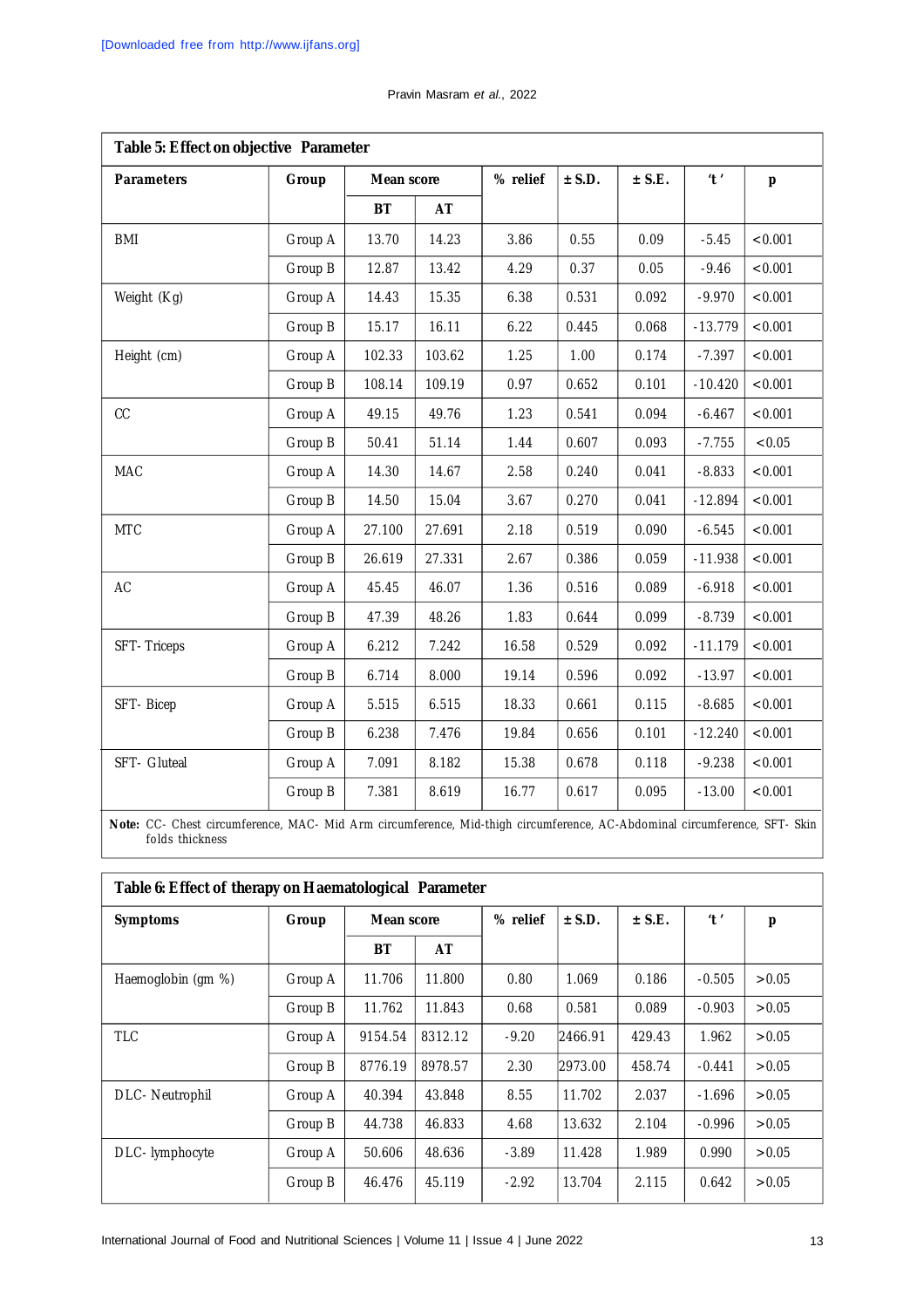|  | Pravin Masram et al., 2022 |  |  |
|--|----------------------------|--|--|
|--|----------------------------|--|--|

| Table 5: Effect on objective Parameter |         |            |        |          |          |          |           |         |
|----------------------------------------|---------|------------|--------|----------|----------|----------|-----------|---------|
| <b>Parameters</b>                      | Group   | Mean score |        | % relief | $±$ S.D. | $±$ S.E. | $'$ t $'$ | p       |
|                                        |         | <b>BT</b>  | AT     |          |          |          |           |         |
| <b>BMI</b>                             | Group A | 13.70      | 14.23  | 3.86     | 0.55     | 0.09     | $-5.45$   | < 0.001 |
|                                        | Group B | 12.87      | 13.42  | 4.29     | 0.37     | 0.05     | $-9.46$   | < 0.001 |
| Weight (Kg)                            | Group A | 14.43      | 15.35  | 6.38     | 0.531    | 0.092    | $-9.970$  | < 0.001 |
|                                        | Group B | 15.17      | 16.11  | 6.22     | 0.445    | 0.068    | $-13.779$ | < 0.001 |
| Height (cm)                            | Group A | 102.33     | 103.62 | 1.25     | 1.00     | 0.174    | $-7.397$  | < 0.001 |
|                                        | Group B | 108.14     | 109.19 | 0.97     | 0.652    | 0.101    | $-10.420$ | < 0.001 |
| CC                                     | Group A | 49.15      | 49.76  | 1.23     | 0.541    | 0.094    | $-6.467$  | < 0.001 |
|                                        | Group B | 50.41      | 51.14  | 1.44     | 0.607    | 0.093    | $-7.755$  | < 0.05  |
| <b>MAC</b>                             | Group A | 14.30      | 14.67  | 2.58     | 0.240    | 0.041    | $-8.833$  | < 0.001 |
|                                        | Group B | 14.50      | 15.04  | 3.67     | 0.270    | 0.041    | $-12.894$ | < 0.001 |
| <b>MTC</b>                             | Group A | 27.100     | 27.691 | 2.18     | 0.519    | 0.090    | $-6.545$  | < 0.001 |
|                                        | Group B | 26.619     | 27.331 | 2.67     | 0.386    | 0.059    | $-11.938$ | < 0.001 |
| AC                                     | Group A | 45.45      | 46.07  | 1.36     | 0.516    | 0.089    | $-6.918$  | < 0.001 |
|                                        | Group B | 47.39      | 48.26  | 1.83     | 0.644    | 0.099    | $-8.739$  | < 0.001 |
| SFT-Triceps                            | Group A | 6.212      | 7.242  | 16.58    | 0.529    | 0.092    | $-11.179$ | < 0.001 |
|                                        | Group B | 6.714      | 8.000  | 19.14    | 0.596    | 0.092    | $-13.97$  | < 0.001 |
| SFT-Bicep                              | Group A | 5.515      | 6.515  | 18.33    | 0.661    | 0.115    | $-8.685$  | < 0.001 |
|                                        | Group B | 6.238      | 7.476  | 19.84    | 0.656    | 0.101    | $-12.240$ | < 0.001 |
| SFT- Gluteal                           | Group A | 7.091      | 8.182  | 15.38    | 0.678    | 0.118    | $-9.238$  | < 0.001 |
|                                        | Group B | 7.381      | 8.619  | 16.77    | 0.617    | 0.095    | $-13.00$  | < 0.001 |

**Note:** CC- Chest circumference, MAC- Mid Arm circumference, Mid-thigh circumference, AC-Abdominal circumference, SFT- Skin folds thickness

| Table 6: Effect of therapy on Haematological Parameter |         |            |         |          |          |          |                           |       |  |
|--------------------------------------------------------|---------|------------|---------|----------|----------|----------|---------------------------|-------|--|
| <b>Symptoms</b>                                        | Group   | Mean score |         | % relief | $±$ S.D. | $±$ S.E. | $^{\prime}$ t $^{\prime}$ | p     |  |
|                                                        |         | BT         | AT      |          |          |          |                           |       |  |
| Haemoglobin (gm %)                                     | Group A | 11.706     | 11.800  | 0.80     | 1.069    | 0.186    | $-0.505$                  | >0.05 |  |
|                                                        | Group B | 11.762     | 11.843  | 0.68     | 0.581    | 0.089    | $-0.903$                  | >0.05 |  |
| <b>TLC</b>                                             | Group A | 9154.54    | 8312.12 | $-9.20$  | 2466.91  | 429.43   | 1.962                     | >0.05 |  |
|                                                        | Group B | 8776.19    | 8978.57 | 2.30     | 2973.00  | 458.74   | $-0.441$                  | >0.05 |  |
| DLC- Neutrophil                                        | Group A | 40.394     | 43.848  | 8.55     | 11.702   | 2.037    | $-1.696$                  | >0.05 |  |
|                                                        | Group B | 44.738     | 46.833  | 4.68     | 13.632   | 2.104    | $-0.996$                  | >0.05 |  |
| DLC-lymphocyte                                         | Group A | 50.606     | 48.636  | $-3.89$  | 11.428   | 1.989    | 0.990                     | >0.05 |  |
|                                                        | Group B | 46.476     | 45.119  | $-2.92$  | 13.704   | 2.115    | 0.642                     | >0.05 |  |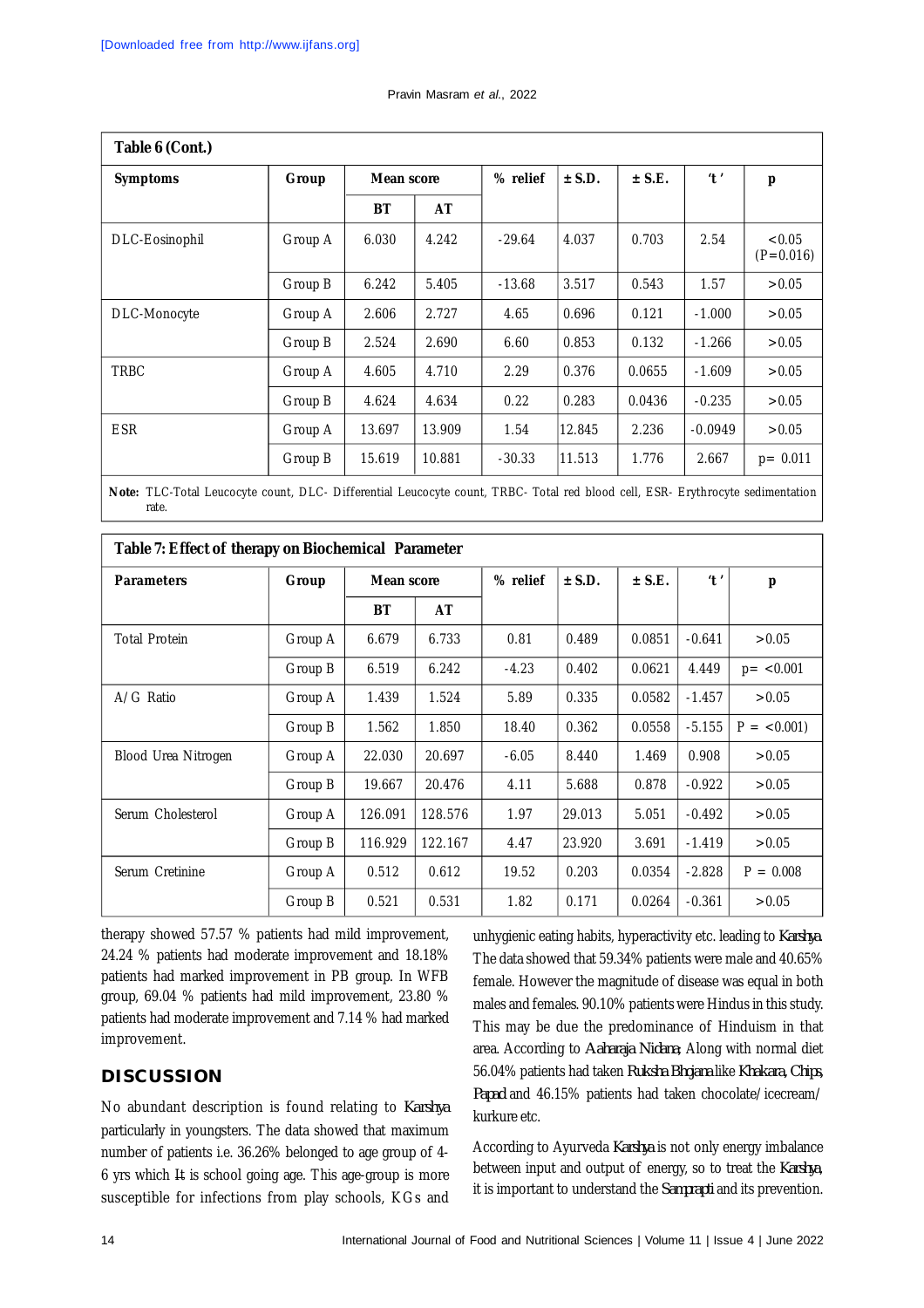| Table 6 (Cont.) |         |            |        |          |          |          |                           |                       |
|-----------------|---------|------------|--------|----------|----------|----------|---------------------------|-----------------------|
| <b>Symptoms</b> | Group   | Mean score |        | % relief | $±$ S.D. | $±$ S.E. | $^{\prime}$ t $^{\prime}$ | p                     |
|                 |         | BT         | AT     |          |          |          |                           |                       |
| DLC-Eosinophil  | Group A | 6.030      | 4.242  | $-29.64$ | 4.037    | 0.703    | 2.54                      | < 0.05<br>$(P=0.016)$ |
|                 | Group B | 6.242      | 5.405  | $-13.68$ | 3.517    | 0.543    | 1.57                      | >0.05                 |
| DLC-Monocyte    | Group A | 2.606      | 2.727  | 4.65     | 0.696    | 0.121    | $-1.000$                  | >0.05                 |
|                 | Group B | 2.524      | 2.690  | 6.60     | 0.853    | 0.132    | $-1.266$                  | >0.05                 |
| <b>TRBC</b>     | Group A | 4.605      | 4.710  | 2.29     | 0.376    | 0.0655   | $-1.609$                  | >0.05                 |
|                 | Group B | 4.624      | 4.634  | 0.22     | 0.283    | 0.0436   | $-0.235$                  | >0.05                 |
| <b>ESR</b>      | Group A | 13.697     | 13.909 | 1.54     | 12.845   | 2.236    | $-0.0949$                 | >0.05                 |
|                 | Group B | 15.619     | 10.881 | $-30.33$ | 11.513   | 1.776    | 2.667                     | $p = 0.011$           |

**Note:** TLC-Total Leucocyte count, DLC- Differential Leucocyte count, TRBC- Total red blood cell, ESR- Erythrocyte sedimentation rate.

| Table 7: Effect of therapy on Biochemical Parameter |         |            |         |          |          |          |                           |               |
|-----------------------------------------------------|---------|------------|---------|----------|----------|----------|---------------------------|---------------|
| <b>Parameters</b>                                   | Group   | Mean score |         | % relief | $±$ S.D. | $±$ S.E. | $^{\prime}$ t $^{\prime}$ | p             |
|                                                     |         | <b>BT</b>  | AT      |          |          |          |                           |               |
| <b>Total Protein</b>                                | Group A | 6.679      | 6.733   | 0.81     | 0.489    | 0.0851   | $-0.641$                  | >0.05         |
|                                                     | Group B | 6.519      | 6.242   | $-4.23$  | 0.402    | 0.0621   | 4.449                     | $p = < 0.001$ |
| A/G Ratio                                           | Group A | 1.439      | 1.524   | 5.89     | 0.335    | 0.0582   | $-1.457$                  | >0.05         |
|                                                     | Group B | 1.562      | 1.850   | 18.40    | 0.362    | 0.0558   | $-5.155$                  | $P = < 0.001$ |
| Blood Urea Nitrogen                                 | Group A | 22.030     | 20.697  | $-6.05$  | 8.440    | 1.469    | 0.908                     | >0.05         |
|                                                     | Group B | 19.667     | 20.476  | 4.11     | 5.688    | 0.878    | $-0.922$                  | >0.05         |
| Serum Cholesterol                                   | Group A | 126.091    | 128.576 | 1.97     | 29.013   | 5.051    | $-0.492$                  | >0.05         |
|                                                     | Group B | 116.929    | 122.167 | 4.47     | 23.920   | 3.691    | $-1.419$                  | >0.05         |
| Serum Cretinine                                     | Group A | 0.512      | 0.612   | 19.52    | 0.203    | 0.0354   | $-2.828$                  | $P = 0.008$   |
|                                                     | Group B | 0.521      | 0.531   | 1.82     | 0.171    | 0.0264   | $-0.361$                  | >0.05         |

therapy showed 57.57 % patients had mild improvement, 24.24 % patients had moderate improvement and 18.18% patients had marked improvement in PB group. In WFB group, 69.04 % patients had mild improvement, 23.80 % patients had moderate improvement and 7.14 % had marked improvement.

## **DISCUSSION**

No abundant description is found relating to *Karshya* particularly in youngsters. The data showed that maximum number of patients i.e. 36.26% belonged to age group of 4- 6 yrs which # is school going age. This age-group is more susceptible for infections from play schools, KGs and

unhygienic eating habits, hyperactivity etc. leading to *Karshya*. The data showed that 59.34% patients were male and 40.65% female. However the magnitude of disease was equal in both males and females. 90.10% patients were Hindus in this study. This may be due the predominance of Hinduism in that area. According to *Aaharaja Nidana*; Along with normal diet 56.04% patients had taken *Ruksha Bhojana* like *Khakara, Chips, Papad* and 46.15% patients had taken chocolate/icecream/ kurkure etc.

According to Ayurveda *Karshya* is not only energy imbalance between input and output of energy, so to treat the *Karshya*, it is important to understand the *Samprapti* and its prevention.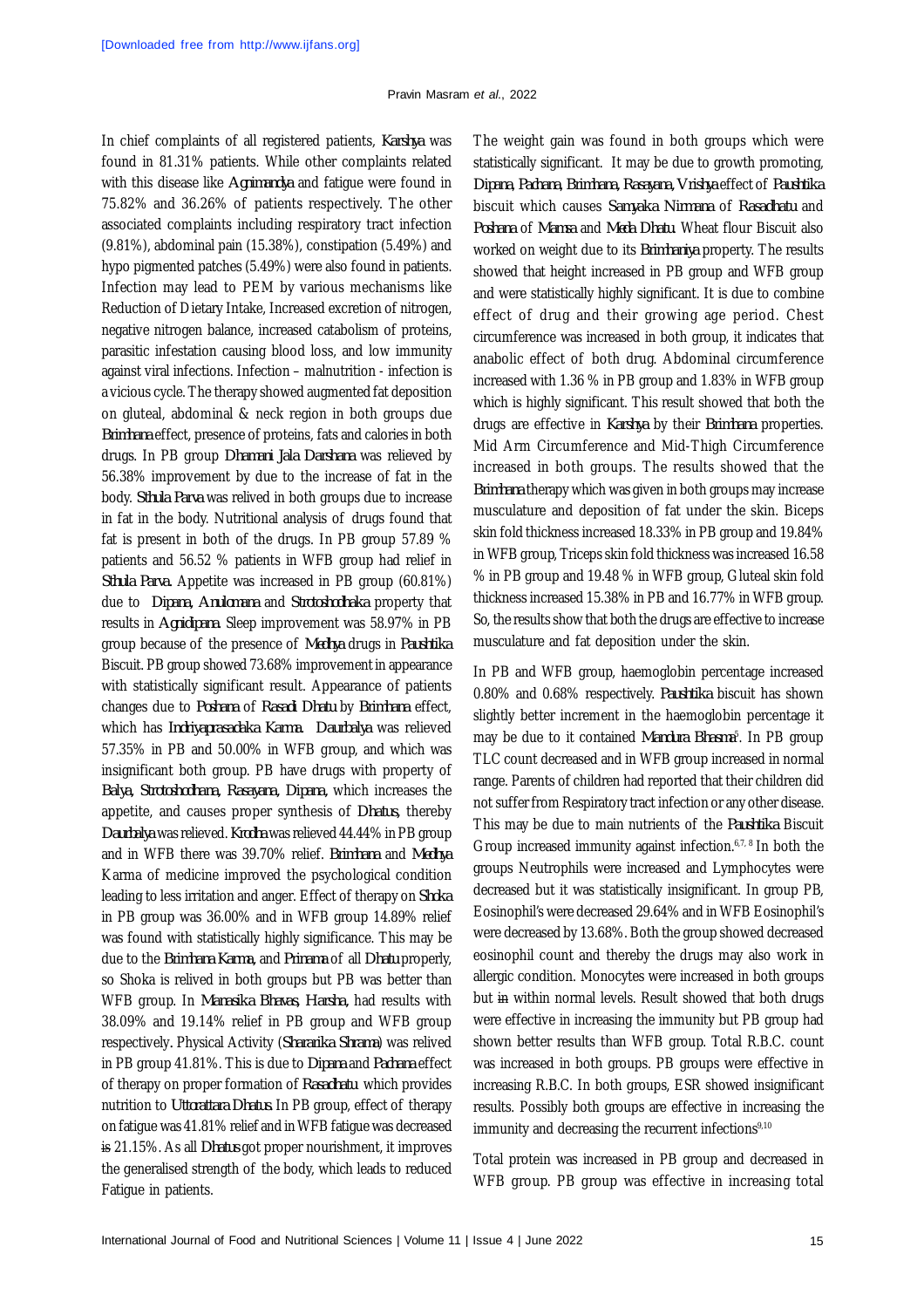In chief complaints of all registered patients, *Karshya* was found in 81.31% patients. While other complaints related with this disease like *Agnimandya* and fatigue were found in 75.82% and 36.26% of patients respectively. The other associated complaints including respiratory tract infection (9.81%), abdominal pain (15.38%), constipation (5.49%) and hypo pigmented patches (5.49%) were also found in patients. Infection may lead to PEM by various mechanisms like Reduction of Dietary Intake, Increased excretion of nitrogen, negative nitrogen balance, increased catabolism of proteins, parasitic infestation causing blood loss, and low immunity against viral infections. Infection – malnutrition - infection is a vicious cycle. The therapy showed augmented fat deposition on gluteal, abdominal & neck region in both groups due *Brimhana* effect, presence of proteins, fats and calories in both drugs. In PB group *Dhamani Jala Darshana* was relieved by 56.38% improvement by due to the increase of fat in the body. *Sthula Parva* was relived in both groups due to increase in fat in the body. Nutritional analysis of drugs found that fat is present in both of the drugs. In PB group 57.89 % patients and 56.52 % patients in WFB group had relief in *Sthula Parva.* Appetite was increased in PB group (60.81%) due to *Dipana, Anulomana* and *Strotoshodhaka* property that results in *Agnidipana*. Sleep improvement was 58.97% in PB group because of the presence of *Medhya* drugs in *Paushtika* Biscuit. PB group showed 73.68% improvement in appearance with statistically significant result. Appearance of patients changes due to *Poshana* of *Rasadi Dhatu* by *Brimhana* effect, which has *Indriyaprasadaka Karma*. *Daurbalya* was relieved 57.35% in PB and 50.00% in WFB group, and which was insignificant both group. PB have drugs with property of *Balya, Strotoshodhana, Rasayana, Dipana,* which increases the appetite, and causes proper synthesis of *Dhatus,* thereby *Daurbalya* was relieved. *Krodha* was relieved 44.44% in PB group and in WFB there was 39.70% relief. *Brimhana* and *Medhya* Karma of medicine improved the psychological condition leading to less irritation and anger. Effect of therapy on *Shoka* in PB group was 36.00% and in WFB group 14.89% relief was found with statistically highly significance. This may be due to the *Brimhana Karma,* and *Prinama* of all *Dhatu* properly, so Shoka is relived in both groups but PB was better than WFB group. In *Manasika Bhavas, Harsha,* had results with 38.09% and 19.14% relief in PB group and WFB group respectively*.* Physical Activity (*Shararika Shrama*) was relived in PB group 41.81%. This is due to *Dipana* and *Pachana* effect of therapy on proper formation of *Rasadhatu* which provides nutrition to *Uttorattara Dhatus.* In PB group, effect of therapy on fatigue was 41.81% relief and in WFB fatigue was decreased is 21.15%. As all *Dhatus* got proper nourishment, it improves the generalised strength of the body, which leads to reduced Fatigue in patients.

The weight gain was found in both groups which were statistically significant. It may be due to growth promoting, *Dipana*, *Pachana*, *Brimhana, Rasayana, Vrishya* effect of *Paushtika* biscuit which causes *Samyaka Nirmana* of *Rasadhatu* and *Poshana* of *Mamsa* and *Meda Dhatu*. Wheat flour Biscuit also worked on weight due to its *Brimhaniya* property. The results showed that height increased in PB group and WFB group and were statistically highly significant. It is due to combine effect of drug and their growing age period. Chest circumference was increased in both group, it indicates that anabolic effect of both drug. Abdominal circumference increased with 1.36 % in PB group and 1.83% in WFB group which is highly significant. This result showed that both the drugs are effective in *Karshya* by their *Brimhana* properties. Mid Arm Circumference and Mid-Thigh Circumference increased in both groups. The results showed that the *Brimhana* therapy which was given in both groups may increase musculature and deposition of fat under the skin. Biceps skin fold thickness increased 18.33% in PB group and 19.84% in WFB group, Triceps skin fold thickness was increased 16.58 % in PB group and 19.48 % in WFB group, Gluteal skin fold thickness increased 15.38% in PB and 16.77% in WFB group. So, the results show that both the drugs are effective to increase musculature and fat deposition under the skin.

In PB and WFB group, haemoglobin percentage increased 0.80% and 0.68% respectively. *Paushtika* biscuit has shown slightly better increment in the haemoglobin percentage it may be due to it contained *Mandura Bhasma*<sup>5</sup> . In PB group TLC count decreased and in WFB group increased in normal range. Parents of children had reported that their children did not suffer from Respiratory tract infection or any other disease. This may be due to main nutrients of the *Paushtika* Biscuit Group increased immunity against infection.6,7, 8 In both the groups Neutrophils were increased and Lymphocytes were decreased but it was statistically insignificant. In group PB, Eosinophil's were decreased 29.64% and in WFB Eosinophil's were decreased by 13.68%. Both the group showed decreased eosinophil count and thereby the drugs may also work in allergic condition. Monocytes were increased in both groups but in within normal levels. Result showed that both drugs were effective in increasing the immunity but PB group had shown better results than WFB group. Total R.B.C. count was increased in both groups. PB groups were effective in increasing R.B.C. In both groups, ESR showed insignificant results. Possibly both groups are effective in increasing the immunity and decreasing the recurrent infections<sup>9,10</sup>

Total protein was increased in PB group and decreased in WFB group. PB group was effective in increasing total